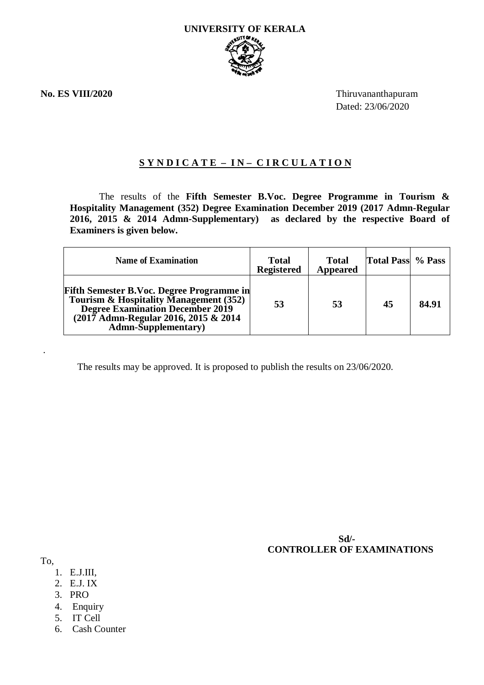**No. ES VIII/2020** Thiruvananthapuram Dated: 23/06/2020

## **S Y N D I C A T E – I N – C I R C U L A T I O N**

The results of the **Fifth Semester B.Voc. Degree Programme in Tourism & Hospitality Management (352) Degree Examination December 2019 (2017 Admn-Regular 2016, 2015 & 2014 Admn-Supplementary) as declared by the respective Board of Examiners is given below.**

| <b>Name of Examination</b>                                                                                                                                                                                    | <b>Total</b><br><b>Registered</b> | <b>Total</b><br><b>Appeared</b> | <b>Total Pass</b> % Pass |       |
|---------------------------------------------------------------------------------------------------------------------------------------------------------------------------------------------------------------|-----------------------------------|---------------------------------|--------------------------|-------|
| <b>Fifth Semester B.Voc. Degree Programme in</b><br>Tourism & Hospitality Management (352)<br><b>Degree Examination December 2019</b><br>(2017 Admn-Regular 2016, 2015 & 2014)<br><b>Admn-Supplementary</b> ) | 53                                | 53                              | 45                       | 84.91 |

The results may be approved. It is proposed to publish the results on 23/06/2020.

 **Sd/- CONTROLLER OF EXAMINATIONS**

To,

.

- 1. E.J.III,
- 2. E.J. IX
- 3. PRO
- 4. Enquiry
- 5. IT Cell
- 6. Cash Counter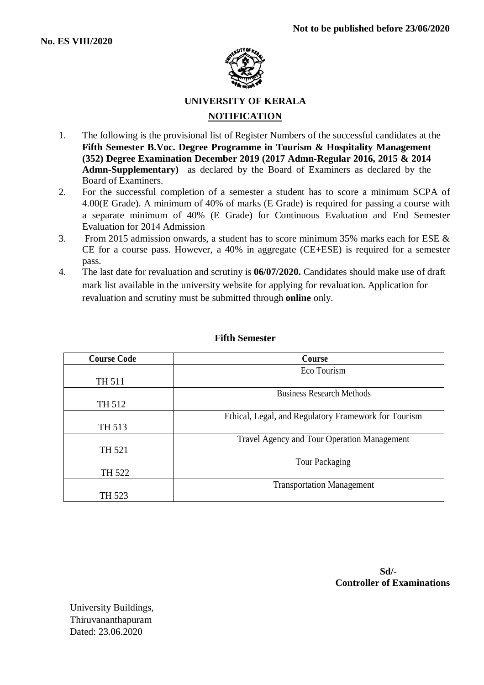

# **UNIVERSITY OF KERALA NOTIFICATION**

- 1. The following is the provisional list of Register Numbers of the successful candidates at the **Fifth Semester B.Voc. Degree Programme in Tourism & Hospitality Management (352) Degree Examination December 2019 (2017 Admn-Regular 2016, 2015 & 2014 Admn-Supplementary)** as declared by the Board of Examiners as declared by the Board of Examiners.
- 2. For the successful completion of a semester a student has to score a minimum SCPA of 4.00(E Grade). A minimum of 40% of marks (E Grade) is required for passing a course with a separate minimum of 40% (E Grade) for Continuous Evaluation and End Semester Evaluation for 2014 Admission
- 3. From 2015 admission onwards, a student has to score minimum 35% marks each for ESE & CE for a course pass. However, a 40% in aggregate (CE+ESE) is required for a semester pass.
- 4. The last date for revaluation and scrutiny is **06/07/2020.** Candidates should make use of draft mark list available in the university website for applying for revaluation. Application for revaluation and scrutiny must be submitted through **online** only.

| <b>Course Code</b> | Course                                               |  |  |  |  |
|--------------------|------------------------------------------------------|--|--|--|--|
|                    | Eco Tourism                                          |  |  |  |  |
| TH 511             |                                                      |  |  |  |  |
|                    | <b>Business Research Methods</b>                     |  |  |  |  |
| TH 512             |                                                      |  |  |  |  |
|                    | Ethical, Legal, and Regulatory Framework for Tourism |  |  |  |  |
| TH 513             |                                                      |  |  |  |  |
|                    | <b>Travel Agency and Tour Operation Management</b>   |  |  |  |  |
| TH 521             |                                                      |  |  |  |  |
|                    | Tour Packaging                                       |  |  |  |  |
| TH 522             |                                                      |  |  |  |  |
|                    | <b>Transportation Management</b>                     |  |  |  |  |
| TH 523             |                                                      |  |  |  |  |

#### **Fifth Semester**

 **Sd/- Controller of Examinations**

University Buildings, Thiruvananthapuram Dated: 23.06.2020